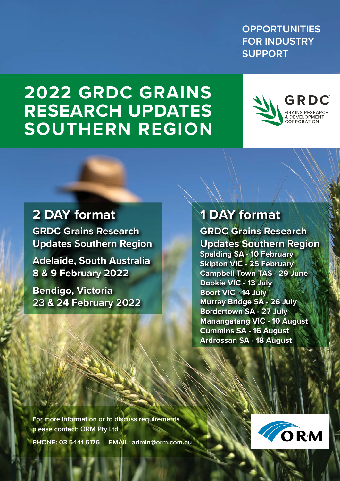**OPPORTUNITIES FOR INDUSTRY SUPPORT**

# **2022 GRDC GRAINS RESEARCH UPDATES SOUTHERN REGION**



### **2 DAY format**

**GRDC Grains Research Updates Southern Region**

**Adelaide, South Australia 8 & 9 February 2022**

**Bendigo, Victoria 23 & 24 February 2022**

### **1 DAY format**

**GRDC Grains Research Updates Southern Region Spalding SA - 10 February Skipton VIC - 25 February Campbell Town TAS - 29 June Dookie VIC - 13 July Boort VIC - 14 July Murray Bridge SA - 26 July Bordertown SA - 27 July Manangatang VIC - 10 August Cummins SA - 16 August Ardrossan SA - 18 August**

**For more information or to discuss requirements please contact: ORM Pty Ltd PHONE: 03 5441 6176 EMAIL: admin@orm.com.au**



 $\mathcal{A}$  $\cdot$  M Bendigo Vice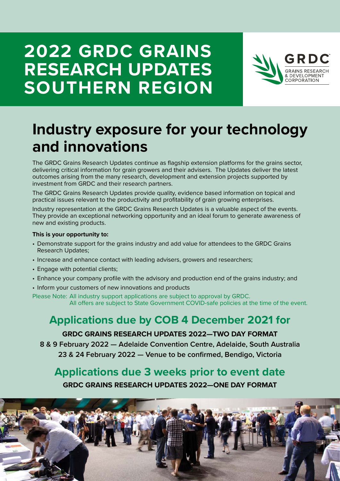# **2022 GRDC GRAINS RESEARCH UPDATES SOUTHERN REGION**



### **Industry exposure for your technology and innovations**

The GRDC Grains Research Updates continue as flagship extension platforms for the grains sector, delivering critical information for grain growers and their advisers. The Updates deliver the latest outcomes arising from the many research, development and extension projects supported by investment from GRDC and their research partners.

The GRDC Grains Research Updates provide quality, evidence based information on topical and practical issues relevant to the productivity and profitability of grain growing enterprises.

Industry representation at the GRDC Grains Research Updates is a valuable aspect of the events. They provide an exceptional networking opportunity and an ideal forum to generate awareness of new and existing products.

#### **This is your opportunity to:**

- Demonstrate support for the grains industry and add value for attendees to the GRDC Grains Research Updates;
- Increase and enhance contact with leading advisers, growers and researchers;
- Engage with potential clients:
- Enhance your company profile with the advisory and production end of the grains industry; and
- Inform your customers of new innovations and products

Please Note: All industry support applications are subject to approval by GRDC. All offers are subject to State Government COVID-safe policies at the time of the event.

### **Applications due by COB 4 December 2021 for GRDC GRAINS RESEARCH UPDATES 2022—TWO DAY FORMAT**

**8 & 9 February 2022 — Adelaide Convention Centre, Adelaide, South Australia 23 & 24 February 2022 — Venue to be confirmed, Bendigo, Victoria** 

### **Applications due 3 weeks prior to event date**

**GRDC GRAINS RESEARCH UPDATES 2022—ONE DAY FORMAT**

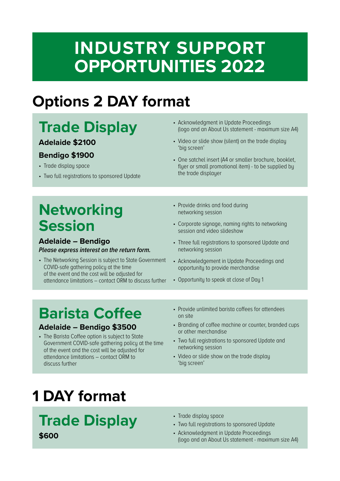# **INDUSTRY SUPPORT OPPORTUNITIES 2022**

# **Options 2 DAY format**

#### **Trade Display Adelaide \$2100 Bendigo \$1900** • Trade display space • Two full registrations to sponsored Update • Acknowledgment in Update Proceedings (logo and an About Us statement - maximum size A4) • Video or slide show (silent) on the trade display 'big screen' • One satchel insert (A4 or smaller brochure, booklet, flyer or small promotional item) - to be supplied by the trade displayer **Networking**  • Provide drinks and food during networking session

#### • Corporate signage, naming rights to networking session and video slideshow

- Three full registrations to sponsored Update and networking session
- Acknowledgement in Update Proceedings and opportunity to provide merchandise
- Opportunity to speak at close of Day 1

# **Barista Coffee**

*Please express interest on the return form.*

COVID-safe gathering policy at the time of the event and the cost will be adjusted for

• The Networking Session is subject to State Government

attendance limitations – contact ORM to discuss further

#### **Adelaide** *–* **Bendigo \$3500**

**Session**

**Adelaide** *–* **Bendigo**

- The Barista Coffee option is subject to State Government COVID-safe gathering policy at the time of the event and the cost will be adjusted for attendance limitations – contact ORM to discuss further
- Provide unlimited barista coffees for attendees on site
- Branding of coffee machine or counter, branded cups or other merchandise
- Two full registrations to sponsored Update and networking session
- Video or slide show on the trade display 'big screen'

# **1 DAY format**

### **Trade Display \$600**

- Trade display space
- Two full registrations to sponsored Update
- Acknowledgment in Update Proceedings (logo and an About Us statement - maximum size A4)